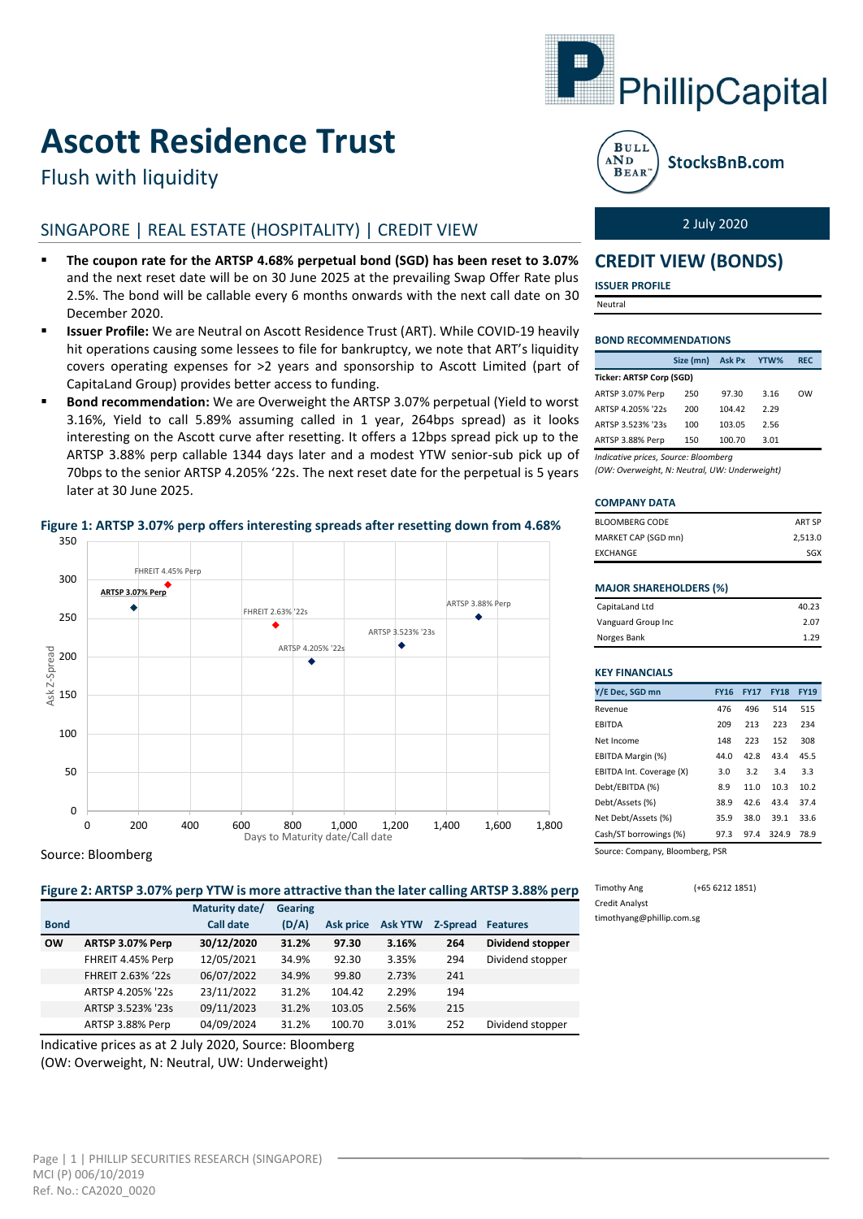

# **Ascott Residence Trust**

# Flush with liquidity

# SINGAPORE | REAL ESTATE (HOSPITALITY) | CREDIT VIEW

- **The coupon rate for the ARTSP 4.68% perpetual bond (SGD) has been reset to 3.07%**  and the next reset date will be on 30 June 2025 at the prevailing Swap Offer Rate plus 2.5%. The bond will be callable every 6 months onwards with the next call date on 30 December 2020.
- **Issuer Profile:** We are Neutral on Ascott Residence Trust (ART). While COVID-19 heavily hit operations causing some lessees to file for bankruptcy, we note that ART's liquidity covers operating expenses for >2 years and sponsorship to Ascott Limited (part of CapitaLand Group) provides better access to funding.
- **Bond recommendation:** We are Overweight the ARTSP 3.07% perpetual (Yield to worst 3.16%, Yield to call 5.89% assuming called in 1 year, 264bps spread) as it looks interesting on the Ascott curve after resetting. It offers a 12bps spread pick up to the ARTSP 3.88% perp callable 1344 days later and a modest YTW senior-sub pick up of 70bps to the senior ARTSP 4.205% '22s. The next reset date for the perpetual is 5 years later at 30 June 2025.



# **Figure 1: ARTSP 3.07% perp offers interesting spreads after resetting down from 4.68%**

Source: Bloomberg

**Figure 2: ARTSP 3.07% perp YTW is more attractive than the later calling ARTSP 3.88% perp**

|             |                   | Maturity date/ | <b>Gearing</b> |                  |                |          |                  |
|-------------|-------------------|----------------|----------------|------------------|----------------|----------|------------------|
| <b>Bond</b> |                   | Call date      | (D/A)          | <b>Ask price</b> | <b>Ask YTW</b> | Z-Spread | <b>Features</b>  |
| <b>OW</b>   | ARTSP 3.07% Perp  | 30/12/2020     | 31.2%          | 97.30            | 3.16%          | 264      | Dividend stopper |
|             | FHREIT 4.45% Perp | 12/05/2021     | 34.9%          | 92.30            | 3.35%          | 294      | Dividend stopper |
|             | FHREIT 2.63% '22s | 06/07/2022     | 34.9%          | 99.80            | 2.73%          | 241      |                  |
|             | ARTSP 4.205% '22s | 23/11/2022     | 31.2%          | 104.42           | 2.29%          | 194      |                  |
|             | ARTSP 3.523% '23s | 09/11/2023     | 31.2%          | 103.05           | 2.56%          | 215      |                  |
|             | ARTSP 3.88% Perp  | 04/09/2024     | 31.2%          | 100.70           | 3.01%          | 252      | Dividend stopper |

Indicative prices as at 2 July 2020, Source: Bloomberg (OW: Overweight, N: Neutral, UW: Underweight)



StocksBnB.com

2 July 2020

# **CREDIT VIEW (BONDS)**

**ISSUER PROFILE**

Neutral

### **BOND RECOMMENDATIONS**

|                                      | Size (mn) | <b>Ask Px</b> | YTW% | <b>REC</b> |  |  |  |
|--------------------------------------|-----------|---------------|------|------------|--|--|--|
| <b>Ticker: ARTSP Corp (SGD)</b>      |           |               |      |            |  |  |  |
| ARTSP 3.07% Perp                     | 250       | 97.30         | 3.16 | <b>OW</b>  |  |  |  |
| ARTSP 4.205% '22s                    | 200       | 104.42        | 2.29 |            |  |  |  |
| ARTSP 3.523% '23s                    | 100       | 103.05        | 2.56 |            |  |  |  |
| ARTSP 3.88% Perp                     | 150       | 100.70        | 3.01 |            |  |  |  |
| Indicative prices, Source: Bloomberg |           |               |      |            |  |  |  |

*(OW: Overweight, N: Neutral, UW: Underweight)*

#### **COMPANY DATA**

| BLOOMBERG CODE      | ART SP  |
|---------------------|---------|
| MARKET CAP (SGD mn) | 2.513.0 |
| EXCHANGE            | SGX     |

### **MAJOR SHAREHOLDERS (%)**

| CapitaLand Ltd     | 40.23 |
|--------------------|-------|
| Vanguard Group Inc | 2.07  |
| Norges Bank        | 1.29  |

### **KEY FINANCIALS**

| Y/E Dec, SGD mn              | <b>FY16</b> | <b>FY17</b> | <b>FY18</b> | <b>FY19</b> |  |
|------------------------------|-------------|-------------|-------------|-------------|--|
| Revenue                      | 476         | 496         | 514         | 515         |  |
| <b>EBITDA</b>                | 209         | 213         | 223         | 234         |  |
| Net Income                   | 148         | 223         | 152         | 308         |  |
| EBITDA Margin (%)            | 44.0        | 42.8        | 43.4        | 45.5        |  |
| EBITDA Int. Coverage (X)     | 3.0         | 3.2         | 3.4         | 3.3         |  |
| Debt/EBITDA (%)              | 8.9         | 11.0        | 10.3        | 10.2        |  |
| Debt/Assets (%)              | 38.9        | 42.6        | 43.4        | 37.4        |  |
| Net Debt/Assets (%)          | 35.9        | 38.0        | 39.1        | 33.6        |  |
| Cash/ST borrowings (%)       | 97.3        | 97.4        | 324.9       | 78.9        |  |
| Course Courses Blockbook BCB |             |             |             |             |  |

Source: Company, Bloomberg, PSR

Timothy Ang (+65 6212 1851) Credit Analyst timothyang@phillip.com.sg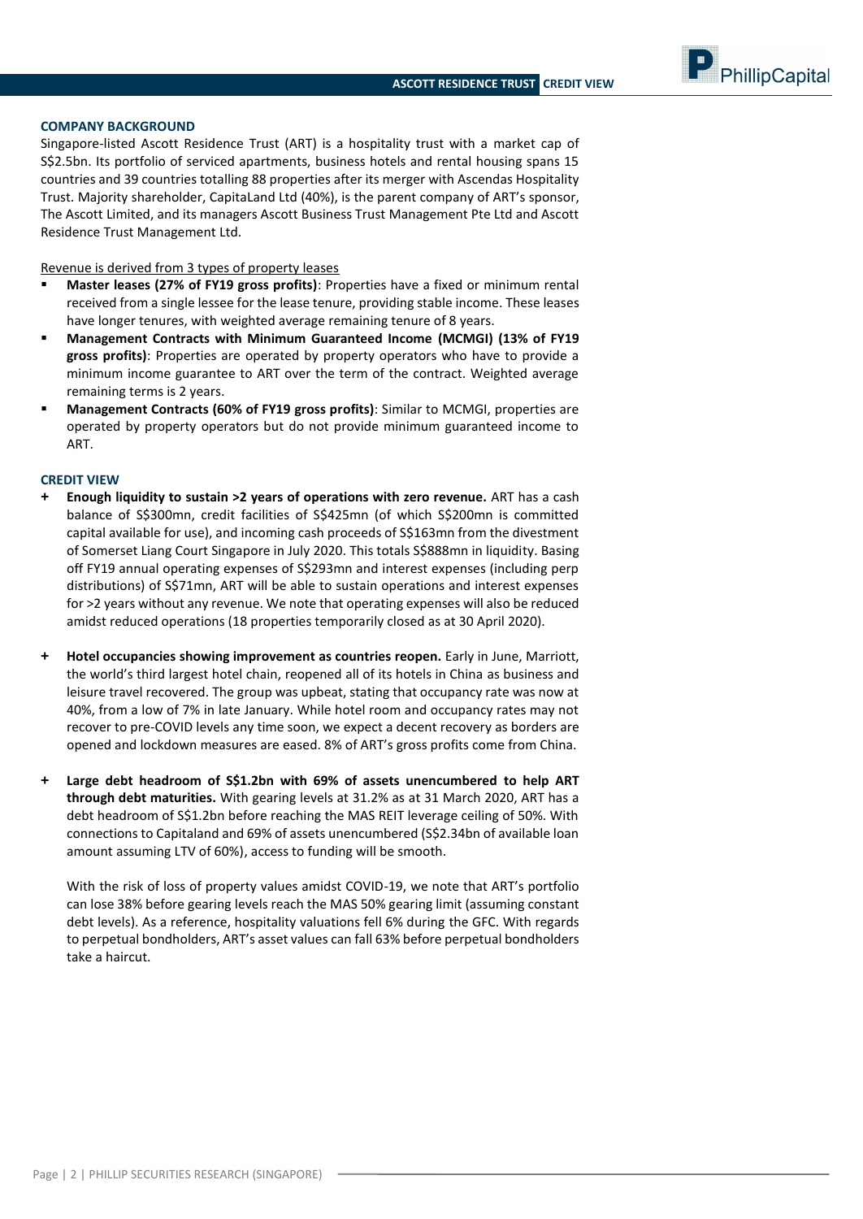PhillipCapital

# **COMPANY BACKGROUND**

Singapore-listed Ascott Residence Trust (ART) is a hospitality trust with a market cap of S\$2.5bn. Its portfolio of serviced apartments, business hotels and rental housing spans 15 countries and 39 countries totalling 88 properties after its merger with Ascendas Hospitality Trust. Majority shareholder, CapitaLand Ltd (40%), is the parent company of ART's sponsor, The Ascott Limited, and its managers Ascott Business Trust Management Pte Ltd and Ascott Residence Trust Management Ltd.

Revenue is derived from 3 types of property leases

- **Master leases (27% of FY19 gross profits)**: Properties have a fixed or minimum rental received from a single lessee for the lease tenure, providing stable income. These leases have longer tenures, with weighted average remaining tenure of 8 years.
- **Management Contracts with Minimum Guaranteed Income (MCMGI) (13% of FY19 gross profits)**: Properties are operated by property operators who have to provide a minimum income guarantee to ART over the term of the contract. Weighted average remaining terms is 2 years.
- **Management Contracts (60% of FY19 gross profits)**: Similar to MCMGI, properties are operated by property operators but do not provide minimum guaranteed income to ART.

#### **CREDIT VIEW**

- **+ Enough liquidity to sustain >2 years of operations with zero revenue.** ART has a cash balance of S\$300mn, credit facilities of S\$425mn (of which S\$200mn is committed capital available for use), and incoming cash proceeds of S\$163mn from the divestment of Somerset Liang Court Singapore in July 2020. This totals S\$888mn in liquidity. Basing off FY19 annual operating expenses of S\$293mn and interest expenses (including perp distributions) of S\$71mn, ART will be able to sustain operations and interest expenses for >2 years without any revenue. We note that operating expenses will also be reduced amidst reduced operations (18 properties temporarily closed as at 30 April 2020).
- **+ Hotel occupancies showing improvement as countries reopen.** Early in June, Marriott, the world's third largest hotel chain, reopened all of its hotels in China as business and leisure travel recovered. The group was upbeat, stating that occupancy rate was now at 40%, from a low of 7% in late January. While hotel room and occupancy rates may not recover to pre-COVID levels any time soon, we expect a decent recovery as borders are opened and lockdown measures are eased. 8% of ART's gross profits come from China.
- **+ Large debt headroom of S\$1.2bn with 69% of assets unencumbered to help ART through debt maturities.** With gearing levels at 31.2% as at 31 March 2020, ART has a debt headroom of S\$1.2bn before reaching the MAS REIT leverage ceiling of 50%. With connections to Capitaland and 69% of assets unencumbered (S\$2.34bn of available loan amount assuming LTV of 60%), access to funding will be smooth.

With the risk of loss of property values amidst COVID-19, we note that ART's portfolio can lose 38% before gearing levels reach the MAS 50% gearing limit (assuming constant debt levels). As a reference, hospitality valuations fell 6% during the GFC. With regards to perpetual bondholders, ART's asset values can fall 63% before perpetual bondholders take a haircut.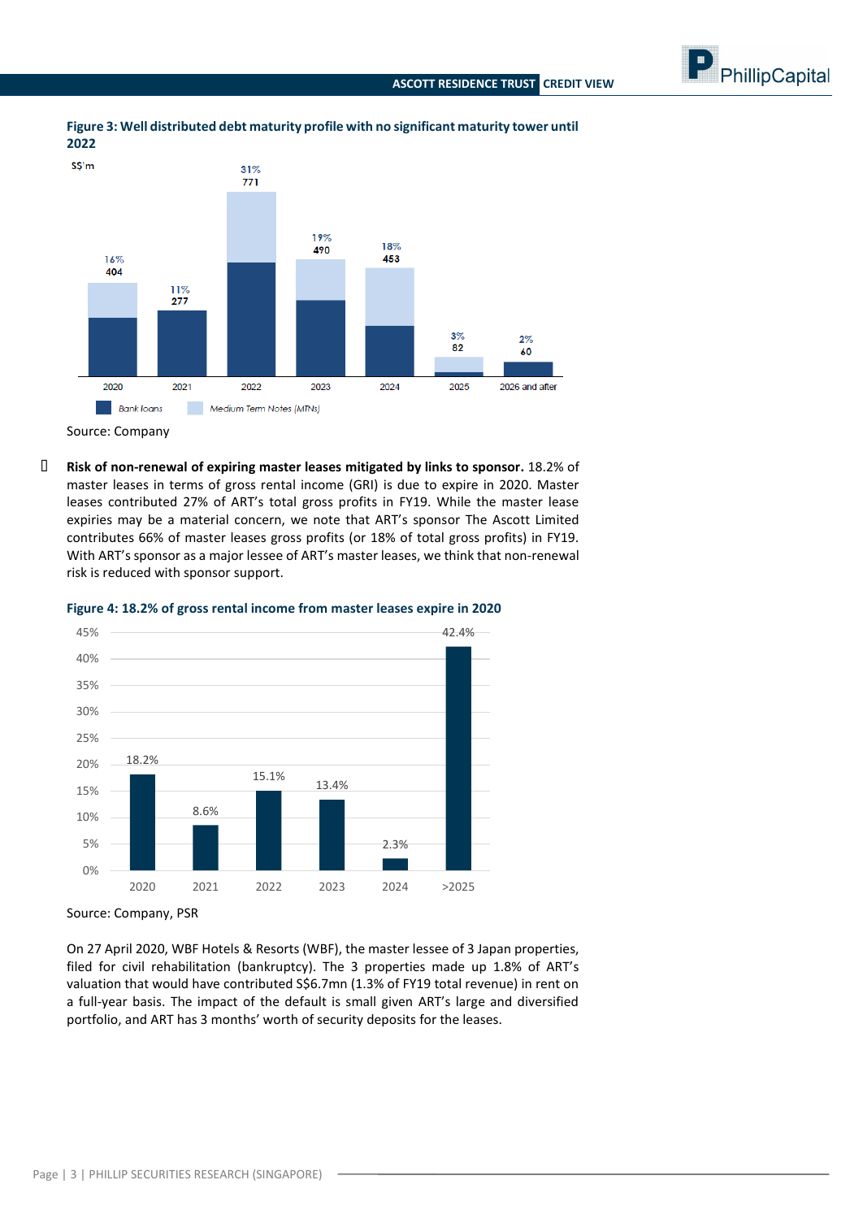



# **Figure 3: Well distributed debt maturity profile with no significant maturity tower until 2022**

**- Risk of non-renewal of expiring master leases mitigated by links to sponsor.** 18.2% of master leases in terms of gross rental income (GRI) is due to expire in 2020. Master leases contributed 27% of ART's total gross profits in FY19. While the master lease expiries may be a material concern, we note that ART's sponsor The Ascott Limited contributes 66% of master leases gross profits (or 18% of total gross profits) in FY19. With ART's sponsor as a major lessee of ART's master leases, we think that non-renewal risk is reduced with sponsor support.



**Figure 4: 18.2% of gross rental income from master leases expire in 2020**

On 27 April 2020, WBF Hotels & Resorts (WBF), the master lessee of 3 Japan properties, filed for civil rehabilitation (bankruptcy). The 3 properties made up 1.8% of ART's valuation that would have contributed S\$6.7mn (1.3% of FY19 total revenue) in rent on a full-year basis. The impact of the default is small given ART's large and diversified portfolio, and ART has 3 months' worth of security deposits for the leases.

Source: Company

Source: Company, PSR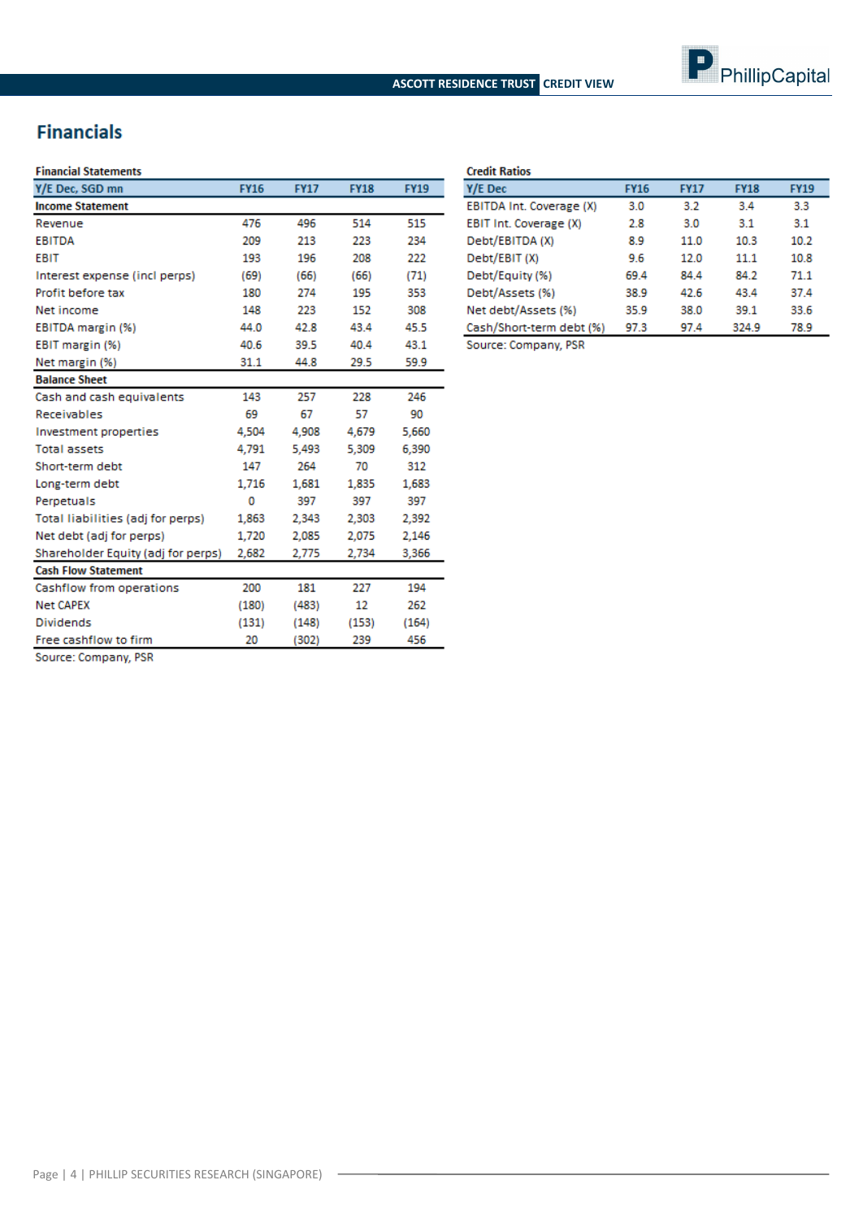# **Financials**

## **Financial Statements**

| Y/E Dec, SGD mn                    | <b>FY16</b> | <b>FY17</b> | <b>FY18</b> | <b>FY19</b> |
|------------------------------------|-------------|-------------|-------------|-------------|
| <b>Income Statement</b>            |             |             |             |             |
| Revenue                            | 476         | 496         | 514         | 515         |
| <b>EBITDA</b>                      | 209         | 213         | 223         | 234         |
| <b>EBIT</b>                        | 193         | 196         | 208         | 222         |
| Interest expense (incl perps)      | (69)        | (66)        | (66)        | (71)        |
| Profit before tax                  | 180         | 274         | 195         | 353         |
| Net income                         | 148         | 223         | 152         | 308         |
| EBITDA margin (%)                  | 44.0        | 42.8        | 43.4        | 45.5        |
| EBIT margin (%)                    | 40.6        | 39.5        | 40.4        | 43.1        |
| Net margin (%)                     | 31.1        | 44.8        | 29.5        | 59.9        |
| <b>Balance Sheet</b>               |             |             |             |             |
| Cash and cash equivalents          | 143         | 257         | 228         | 246         |
| Receivables                        | 69          | 67          | 57          | 90          |
| Investment properties              | 4,504       | 4,908       | 4,679       | 5,660       |
| <b>Total assets</b>                | 4.791       | 5.493       | 5.309       | 6.390       |
| Short-term debt                    | 147         | 264         | 70          | 312         |
| Long-term debt                     | 1.716       | 1,681       | 1,835       | 1,683       |
| Perpetuals                         | 0           | 397         | 397         | 397         |
| Total liabilities (adj for perps)  | 1,863       | 2,343       | 2,303       | 2.392       |
| Net debt (adj for perps)           | 1,720       | 2,085       | 2.075       | 2,146       |
| Shareholder Equity (adj for perps) | 2,682       | 2,775       | 2,734       | 3,366       |
| <b>Cash Flow Statement</b>         |             |             |             |             |
| Cashflow from operations           | 200         | 181         | 227         | 194         |
| <b>Net CAPEX</b>                   | (180)       | (483)       | 12          | 262         |
| <b>Dividends</b>                   | (131)       | (148)       | (153)       | (164)       |
| Free cashflow to firm              | 20          | (302)       | 239         | 456         |

| <b>Credit Ratios</b>     |             |             |             |             |
|--------------------------|-------------|-------------|-------------|-------------|
| Y/E Dec                  | <b>FY16</b> | <b>FY17</b> | <b>FY18</b> | <b>FY19</b> |
| EBITDA Int. Coverage (X) | 3.0         | 32          | 34          | 3.3         |
| EBIT Int. Coverage (X)   | 28          | 3.0         | 3.1         | 3.1         |
| Debt/EBITDA (X)          | 8.9         | 11.0        | 10.3        | 10.2        |
| Debt/EBIT (X)            | 9.6         | 12.0        | 11 1        | 10.8        |
| Debt/Equity (%)          | 69.4        | 844         | 84.2        | 71 1        |
| Debt/Assets (%)          | 38.9        | 42.6        | 43.4        | 37.4        |
| Net debt/Assets (%)      | 35.9        | 38.0        | 39.1        | 33.6        |
| Cash/Short-term debt (%) | 97.3        | 97.4        | 324.9       | 78.9        |
|                          |             |             |             |             |

Source: Company, PSR

Source: Company, PSR

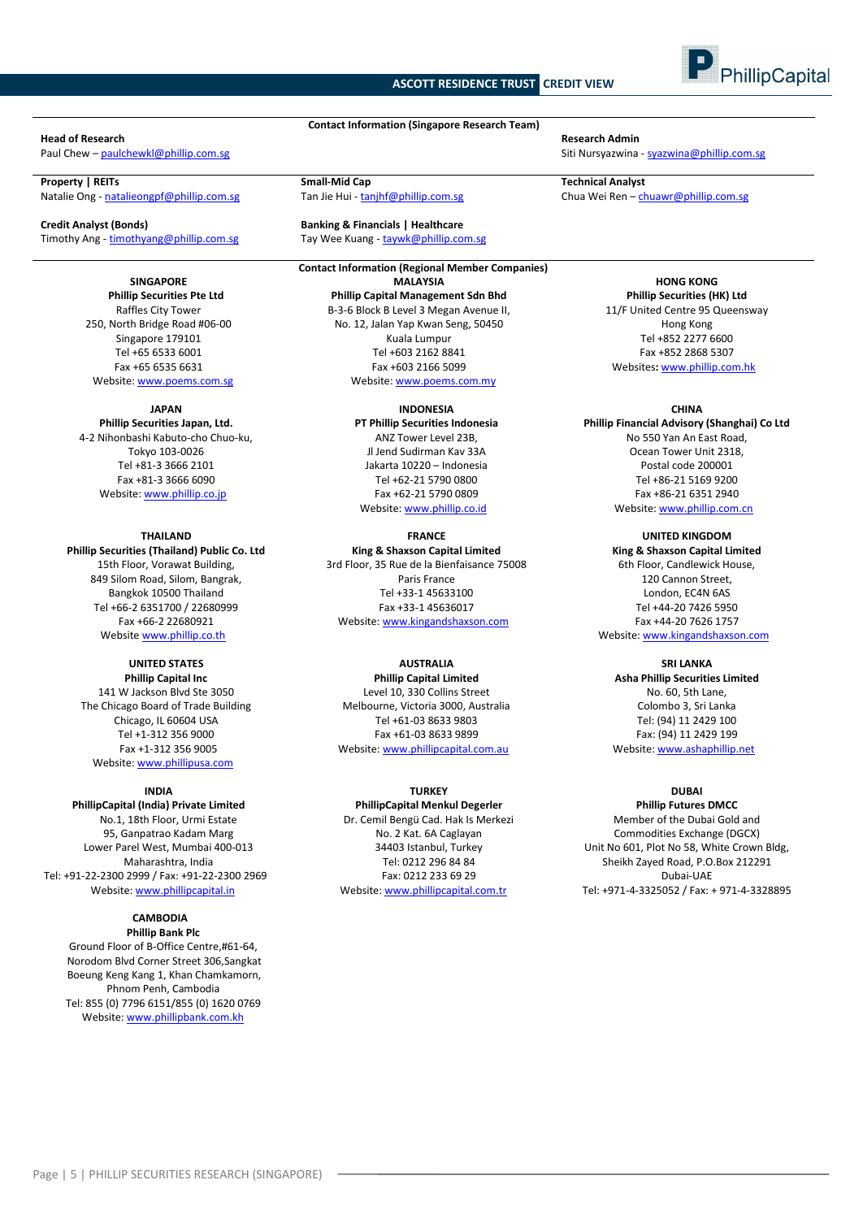# **ASCOTT RESIDENCE TRUST CREDIT VIEW**



#### **Head of Research Research Admin**

Natalie Ong - [natalieongpf@phillip.com.sg](mailto:natalieongpf@phillip.com.sg)

**Credit Analyst (Bonds) Banking & Financials | Healthcare** Timothy Ang - timothyang@phillip.com.sg Tay Wee Kuang - taywk@phillip.com.sg

**SINGAPORE Phillip Securities Pte Ltd** Raffles City Tower 250, North Bridge Road #06-00 Singapore 179101 Tel +65 6533 6001 Fax +65 6535 6631 Website[: www.poems.com.sg](http://www.poems.com.sg/)

#### **JAPAN**

**Phillip Securities Japan, Ltd.** 4-2 Nihonbashi Kabuto-cho Chuo-ku, Tokyo 103-0026 Tel +81-3 3666 2101 Fax +81-3 3666 6090 Website[: www.phillip.co.jp](http://www.phillip.co.jp/)

**THAILAND Phillip Securities (Thailand) Public Co. Ltd** 15th Floor, Vorawat Building, 849 Silom Road, Silom, Bangrak, Bangkok 10500 Thailand Tel +66-2 6351700 / 22680999 Fax +66-2 22680921 Website [www.phillip.co.th](http://www.phillip.co.th/)

# **UNITED STATES**

**Phillip Capital Inc** 141 W Jackson Blvd Ste 3050 The Chicago Board of Trade Building Chicago, IL 60604 USA Tel +1-312 356 9000 Fax +1-312 356 9005 Website[: www.phillipusa.com](http://www.phillipusa.com/)

#### **INDIA**

**PhillipCapital (India) Private Limited** No.1, 18th Floor, Urmi Estate 95, Ganpatrao Kadam Marg Lower Parel West, Mumbai 400-013 Maharashtra, India Tel: +91-22-2300 2999 / Fax: +91-22-2300 2969 Website[: www.phillipcapital.in](http://www.phillipcapital.in/)

#### **CAMBODIA Phillip Bank Plc**

Ground Floor of B-Office Centre,#61-64, Norodom Blvd Corner Street 306,Sangkat Boeung Keng Kang 1, Khan Chamkamorn, Phnom Penh, Cambodia Tel: 855 (0) 7796 6151/855 (0) 1620 0769 Website[: www.phillipbank.com.kh](http://www.phillipbank.com.kh/)

**Contact Information (Singapore Research Team)**

**Contact Information (Regional Member Companies) MALAYSIA Phillip Capital Management Sdn Bhd** B-3-6 Block B Level 3 Megan Avenue II, No. 12, Jalan Yap Kwan Seng, 50450 Kuala Lumpur Tel +603 2162 8841 Fax +603 2166 5099

Website[: www.poems.com.my](http://www.poems.com.my/)

#### **INDONESIA**

**PT Phillip Securities Indonesia** ANZ Tower Level 23B, Jl Jend Sudirman Kav 33A Jakarta 10220 – Indonesia Tel +62-21 5790 0800 Fax +62-21 5790 0809 Website: [www.phillip.co.id](http://www.phillip.co.id/)

**FRANCE King & Shaxson Capital Limited**

3rd Floor, 35 Rue de la Bienfaisance 75008 Paris France Tel +33-1 45633100 Fax +33-1 45636017 Website[: www.kingandshaxson.com](http://www.kingandshaxson.com/)

# **AUSTRALIA**

**Phillip Capital Limited** Level 10, 330 Collins Street Melbourne, Victoria 3000, Australia Tel +61-03 8633 9803 Fax +61-03 8633 9899 Website[: www.phillipcapital.com.au](http://www.phillipcapital.com.au/)

### **TURKEY**

**PhillipCapital Menkul Degerler** Dr. Cemil Bengü Cad. Hak Is Merkezi No. 2 Kat. 6A Caglayan 34403 Istanbul, Turkey Tel: 0212 296 84 84 Fax: 0212 233 69 29 Website[: www.phillipcapital.com.tr](http://www.phillipcapital.com.tr/)

Paul Chew – [paulchewkl@phillip.com.sg](mailto:paulchewkl@phillip.com.sg) Siti Nursyazwina - [syazwina@phillip.com.sg](mailto:syazwina@phillip.com.sg) Siti Nursyazwina - syazwina@phillip.com.sg

**Property | REITs**<br> **Property | REITs Small-Mid Cap Small-Mid Cap Small-Mid Cap Tan Jie Hui - tanjhf@phillip.com.sg <b>Small-Mid Cap Chua Wei Ren – chuawr@phillip.com.sg Chua Wei Ren – chuawr@phillip.com.sg** 

**HONG KONG Phillip Securities (HK) Ltd** 11/F United Centre 95 Queensway Hong Kong Tel +852 2277 6600 Fax +852 2868 5307 Websites**:** [www.phillip.com.hk](http://www.phillip.com.hk/)

#### **CHINA**

**Phillip Financial Advisory (Shanghai) Co Ltd** No 550 Yan An East Road, Ocean Tower Unit 2318, Postal code 200001 Tel +86-21 5169 9200 Fax +86-21 6351 2940 Website[: www.phillip.com.cn](http://www.phillip.com.cn/)

**UNITED KINGDOM**

**King & Shaxson Capital Limited** 6th Floor, Candlewick House, 120 Cannon Street, London, EC4N 6AS Tel +44-20 7426 5950 Fax +44-20 7626 1757 Website[: www.kingandshaxson.com](http://www.kingandshaxson.com/)

**SRI LANKA**

**Asha Phillip Securities Limited** No. 60, 5th Lane, Colombo 3, Sri Lanka Tel: (94) 11 2429 100 Fax: (94) 11 2429 199 Website[: www.ashaphillip.net](http://www.ashaphillip.net/)

# **DUBAI**

**Phillip Futures DMCC** Member of the Dubai Gold and Commodities Exchange (DGCX) Unit No 601, Plot No 58, White Crown Bldg, Sheikh Zayed Road, P.O.Box 212291 Dubai-UAE Tel: +971-4-3325052 / Fax: + 971-4-3328895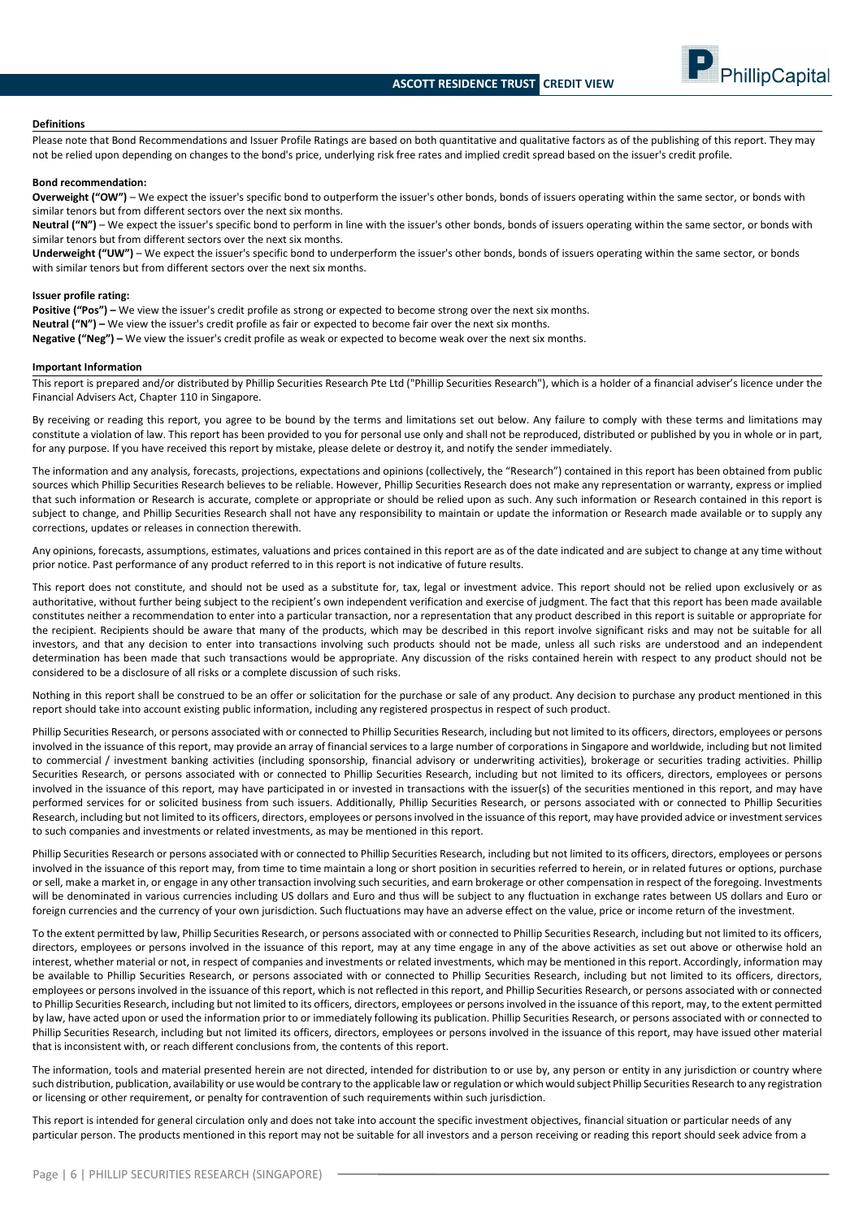

#### **Definitions**

Please note that Bond Recommendations and Issuer Profile Ratings are based on both quantitative and qualitative factors as of the publishing of this report. They may not be relied upon depending on changes to the bond's price, underlying risk free rates and implied credit spread based on the issuer's credit profile.

#### **Bond recommendation:**

**Overweight ("OW")** – We expect the issuer's specific bond to outperform the issuer's other bonds, bonds of issuers operating within the same sector, or bonds with similar tenors but from different sectors over the next six months.

**Neutral ("N")** – We expect the issuer's specific bond to perform in line with the issuer's other bonds, bonds of issuers operating within the same sector, or bonds with similar tenors but from different sectors over the next six months.

**Underweight ("UW")** – We expect the issuer's specific bond to underperform the issuer's other bonds, bonds of issuers operating within the same sector, or bonds with similar tenors but from different sectors over the next six months.

#### **Issuer profile rating:**

**Positive ("Pos") –** We view the issuer's credit profile as strong or expected to become strong over the next six months. **Neutral ("N") –** We view the issuer's credit profile as fair or expected to become fair over the next six months. **Negative ("Neg") –** We view the issuer's credit profile as weak or expected to become weak over the next six months.

#### **Important Information**

This report is prepared and/or distributed by Phillip Securities Research Pte Ltd ("Phillip Securities Research"), which is a holder of a financial adviser's licence under the Financial Advisers Act, Chapter 110 in Singapore.

By receiving or reading this report, you agree to be bound by the terms and limitations set out below. Any failure to comply with these terms and limitations may constitute a violation of law. This report has been provided to you for personal use only and shall not be reproduced, distributed or published by you in whole or in part, for any purpose. If you have received this report by mistake, please delete or destroy it, and notify the sender immediately.

The information and any analysis, forecasts, projections, expectations and opinions (collectively, the "Research") contained in this report has been obtained from public sources which Phillip Securities Research believes to be reliable. However, Phillip Securities Research does not make any representation or warranty, express or implied that such information or Research is accurate, complete or appropriate or should be relied upon as such. Any such information or Research contained in this report is subject to change, and Phillip Securities Research shall not have any responsibility to maintain or update the information or Research made available or to supply any corrections, updates or releases in connection therewith.

Any opinions, forecasts, assumptions, estimates, valuations and prices contained in this report are as of the date indicated and are subject to change at any time without prior notice. Past performance of any product referred to in this report is not indicative of future results.

This report does not constitute, and should not be used as a substitute for, tax, legal or investment advice. This report should not be relied upon exclusively or as authoritative, without further being subject to the recipient's own independent verification and exercise of judgment. The fact that this report has been made available constitutes neither a recommendation to enter into a particular transaction, nor a representation that any product described in this report is suitable or appropriate for the recipient. Recipients should be aware that many of the products, which may be described in this report involve significant risks and may not be suitable for all investors, and that any decision to enter into transactions involving such products should not be made, unless all such risks are understood and an independent determination has been made that such transactions would be appropriate. Any discussion of the risks contained herein with respect to any product should not be considered to be a disclosure of all risks or a complete discussion of such risks.

Nothing in this report shall be construed to be an offer or solicitation for the purchase or sale of any product. Any decision to purchase any product mentioned in this report should take into account existing public information, including any registered prospectus in respect of such product.

Phillip Securities Research, or persons associated with or connected to Phillip Securities Research, including but not limited to its officers, directors, employees or persons involved in the issuance of this report, may provide an array of financial services to a large number of corporations in Singapore and worldwide, including but not limited to commercial / investment banking activities (including sponsorship, financial advisory or underwriting activities), brokerage or securities trading activities. Phillip Securities Research, or persons associated with or connected to Phillip Securities Research, including but not limited to its officers, directors, employees or persons involved in the issuance of this report, may have participated in or invested in transactions with the issuer(s) of the securities mentioned in this report, and may have performed services for or solicited business from such issuers. Additionally, Phillip Securities Research, or persons associated with or connected to Phillip Securities Research, including but not limited to its officers, directors, employees or persons involved in the issuance of this report, may have provided advice or investment services to such companies and investments or related investments, as may be mentioned in this report.

Phillip Securities Research or persons associated with or connected to Phillip Securities Research, including but not limited to its officers, directors, employees or persons involved in the issuance of this report may, from time to time maintain a long or short position in securities referred to herein, or in related futures or options, purchase or sell, make a market in, or engage in any other transaction involving such securities, and earn brokerage or other compensation in respect of the foregoing. Investments will be denominated in various currencies including US dollars and Euro and thus will be subject to any fluctuation in exchange rates between US dollars and Euro or foreign currencies and the currency of your own jurisdiction. Such fluctuations may have an adverse effect on the value, price or income return of the investment.

To the extent permitted by law, Phillip Securities Research, or persons associated with or connected to Phillip Securities Research, including but not limited to its officers, directors, employees or persons involved in the issuance of this report, may at any time engage in any of the above activities as set out above or otherwise hold an interest, whether material or not, in respect of companies and investments or related investments, which may be mentioned in this report. Accordingly, information may be available to Phillip Securities Research, or persons associated with or connected to Phillip Securities Research, including but not limited to its officers, directors, employees or persons involved in the issuance of this report, which is not reflected in this report, and Phillip Securities Research, or persons associated with or connected to Phillip Securities Research, including but not limited to its officers, directors, employees or persons involved in the issuance of this report, may, to the extent permitted by law, have acted upon or used the information prior to or immediately following its publication. Phillip Securities Research, or persons associated with or connected to Phillip Securities Research, including but not limited its officers, directors, employees or persons involved in the issuance of this report, may have issued other material that is inconsistent with, or reach different conclusions from, the contents of this report.

The information, tools and material presented herein are not directed, intended for distribution to or use by, any person or entity in any jurisdiction or country where such distribution, publication, availability or use would be contrary to the applicable law or regulation or which would subject Phillip Securities Research to any registration or licensing or other requirement, or penalty for contravention of such requirements within such jurisdiction.

This report is intended for general circulation only and does not take into account the specific investment objectives, financial situation or particular needs of any particular person. The products mentioned in this report may not be suitable for all investors and a person receiving or reading this report should seek advice from a